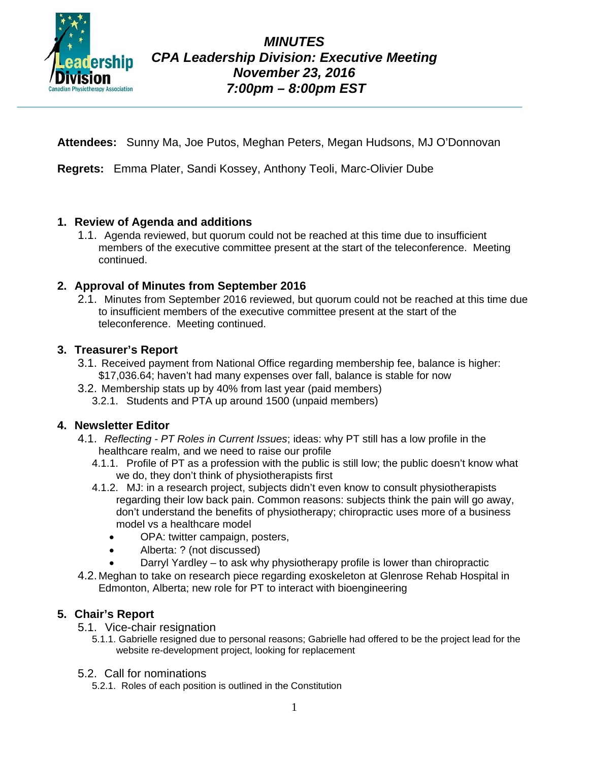

**Attendees:** Sunny Ma, Joe Putos, Meghan Peters, Megan Hudsons, MJ O'Donnovan

**Regrets:** Emma Plater, Sandi Kossey, Anthony Teoli, Marc-Olivier Dube

### **1. Review of Agenda and additions**

1.1. Agenda reviewed, but quorum could not be reached at this time due to insufficient members of the executive committee present at the start of the teleconference. Meeting continued.

# **2. Approval of Minutes from September 2016**

2.1. Minutes from September 2016 reviewed, but quorum could not be reached at this time due to insufficient members of the executive committee present at the start of the teleconference. Meeting continued.

#### **3. Treasurer's Report**

- 3.1. Received payment from National Office regarding membership fee, balance is higher: \$17,036.64; haven't had many expenses over fall, balance is stable for now
- 3.2. Membership stats up by 40% from last year (paid members)
	- 3.2.1. Students and PTA up around 1500 (unpaid members)

#### **4. Newsletter Editor**

- 4.1. *Reflecting - PT Roles in Current Issues*; ideas: why PT still has a low profile in the healthcare realm, and we need to raise our profile
	- 4.1.1. Profile of PT as a profession with the public is still low; the public doesn't know what we do, they don't think of physiotherapists first
	- 4.1.2. MJ: in a research project, subjects didn't even know to consult physiotherapists regarding their low back pain. Common reasons: subjects think the pain will go away, don't understand the benefits of physiotherapy; chiropractic uses more of a business model vs a healthcare model
		- OPA: twitter campaign, posters,
		- Alberta: ? (not discussed)
		- Darryl Yardley to ask why physiotherapy profile is lower than chiropractic
- 4.2. Meghan to take on research piece regarding exoskeleton at Glenrose Rehab Hospital in Edmonton, Alberta; new role for PT to interact with bioengineering

# **5. Chair's Report**

- 5.1. Vice-chair resignation
	- 5.1.1. Gabrielle resigned due to personal reasons; Gabrielle had offered to be the project lead for the website re-development project, looking for replacement
- 5.2. Call for nominations
	- 5.2.1. Roles of each position is outlined in the Constitution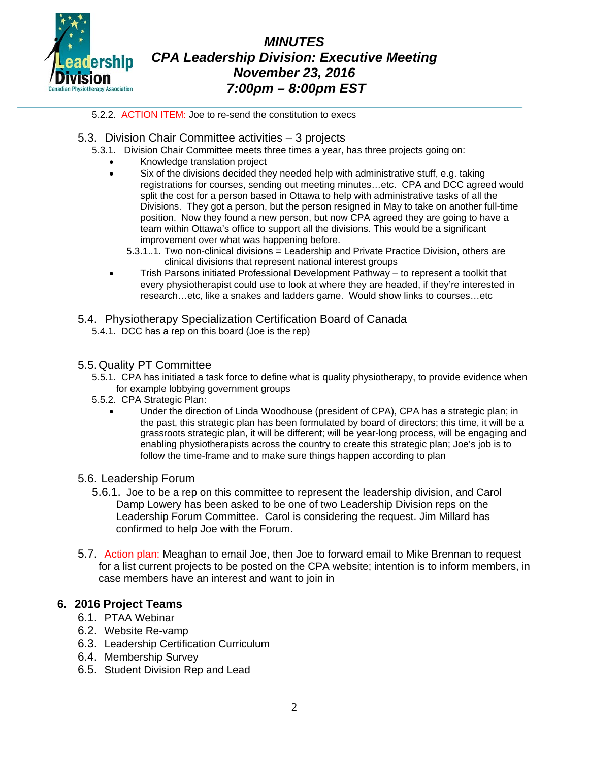

*MINUTES CPA Leadership Division: Executive Meeting November 23, 2016 7:00pm – 8:00pm EST*

5.2.2. ACTION ITEM: Joe to re-send the constitution to execs

- 5.3. Division Chair Committee activities 3 projects
	- 5.3.1. Division Chair Committee meets three times a year, has three projects going on:
		- Knowledge translation project
		- Six of the divisions decided they needed help with administrative stuff, e.g. taking registrations for courses, sending out meeting minutes…etc. CPA and DCC agreed would split the cost for a person based in Ottawa to help with administrative tasks of all the Divisions. They got a person, but the person resigned in May to take on another full-time position. Now they found a new person, but now CPA agreed they are going to have a team within Ottawa's office to support all the divisions. This would be a significant improvement over what was happening before.
			- 5.3.1..1. Two non-clinical divisions = Leadership and Private Practice Division, others are clinical divisions that represent national interest groups
		- Trish Parsons initiated Professional Development Pathway to represent a toolkit that every physiotherapist could use to look at where they are headed, if they're interested in research…etc, like a snakes and ladders game. Would show links to courses…etc
- 5.4. Physiotherapy Specialization Certification Board of Canada
	- 5.4.1. DCC has a rep on this board (Joe is the rep)
- 5.5.Quality PT Committee
	- 5.5.1. CPA has initiated a task force to define what is quality physiotherapy, to provide evidence when for example lobbying government groups
	- 5.5.2. CPA Strategic Plan:
		- Under the direction of Linda Woodhouse (president of CPA), CPA has a strategic plan; in the past, this strategic plan has been formulated by board of directors; this time, it will be a grassroots strategic plan, it will be different; will be year-long process, will be engaging and enabling physiotherapists across the country to create this strategic plan; Joe's job is to follow the time-frame and to make sure things happen according to plan
- 5.6. Leadership Forum
	- 5.6.1. Joe to be a rep on this committee to represent the leadership division, and Carol Damp Lowery has been asked to be one of two Leadership Division reps on the Leadership Forum Committee. Carol is considering the request. Jim Millard has confirmed to help Joe with the Forum.
- 5.7. Action plan: Meaghan to email Joe, then Joe to forward email to Mike Brennan to request for a list current projects to be posted on the CPA website; intention is to inform members, in case members have an interest and want to join in

#### **6. 2016 Project Teams**

- 6.1. PTAA Webinar
- 6.2. Website Re-vamp
- 6.3. Leadership Certification Curriculum
- 6.4. Membership Survey
- 6.5. Student Division Rep and Lead